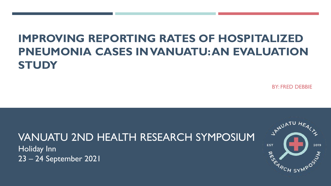# **IMPROVING REPORTING RATES OF HOSPITALIZED PNEUMONIA CASES IN VANUATU: AN EVALUATION STUDY**

BY: FRED DEBBIE

## VANUATU 2ND HEALTH RESEARCH SYMPOSIUM

Holiday Inn 23 – 24 September 2021

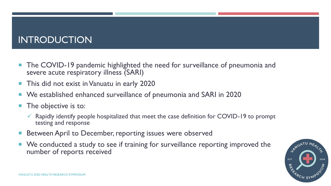### INTRODUCTION

- **The COVID-19 pandemic highlighted the need for surveillance of pneumonia and** severe acute respiratory illness (SARI)
- This did not exist in Vanuatu in early 2020
- We established enhanced surveillance of pneumonia and SARI in 2020
- The objective is to:
	- $\checkmark$  Rapidly identify people hospitalized that meet the case definition for COVID-19 to prompt testing and response
- Between April to December, reporting issues were observed
- We conducted a study to see if training for surveillance reporting improved the number of reports received

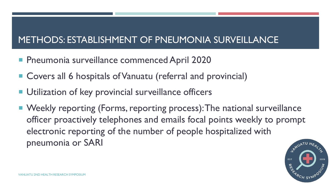## METHODS: ESTABLISHMENT OF PNEUMONIA SURVEILLANCE

- **Pheumonia surveillance commenced April 2020**
- Covers all 6 hospitals of Vanuatu (referral and provincial)
- **Utilization of key provincial surveillance officers**
- Weekly reporting (Forms, reporting process): The national surveillance officer proactively telephones and emails focal points weekly to prompt electronic reporting of the number of people hospitalized with pneumonia or SARI

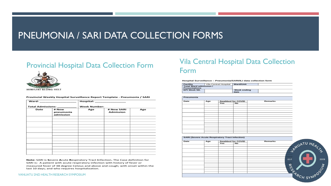### PNEUMONIA / SARI DATA COLLECTION FORMS

### Provincial Hospital Data Collection Form



| <b>Ward: ________________</b><br>Total Admissions: ________ |                                 | Hospital: ____________________ |                                |     |
|-------------------------------------------------------------|---------------------------------|--------------------------------|--------------------------------|-----|
|                                                             |                                 | <b>Week Number:</b>            |                                |     |
| Date                                                        | # New<br>pneumonia<br>admission | Age                            | # New SARI<br><b>Admission</b> | Age |
|                                                             |                                 |                                |                                |     |
|                                                             |                                 |                                |                                |     |
|                                                             |                                 |                                |                                |     |
|                                                             |                                 |                                |                                |     |
|                                                             |                                 |                                |                                |     |
|                                                             |                                 |                                |                                |     |
|                                                             |                                 |                                |                                |     |
|                                                             |                                 |                                |                                |     |
|                                                             |                                 |                                |                                |     |
|                                                             |                                 |                                |                                |     |
|                                                             |                                 |                                |                                |     |
|                                                             |                                 |                                |                                |     |
|                                                             |                                 |                                |                                |     |

#### **Provincial Weekly Hospital Surveillance Report Template - Pneumonia / SARI**

**Note:** SARI is **S**evere **A**cute **R**espiratory Tract **I**nfection**.** The Case definition for SARI is: A patient with acute respiratory infection with history of fever or measured fever of 38 degree Celsius and above and cough; with onset within the last 10 days; and who requires hospitalization.

#### VANUATU 2ND HEALTH RESEARCH SYMPOSIUM

### Vila Central Hospital Data Collection Form

#### COVID-19 Hospital Surveillance **Hospital Surveillance – Pneumonia/SARI/ILI data collection form**

| Facility               | Vila Central Hospital | Ward/Unit   |  |
|------------------------|-----------------------|-------------|--|
| Total Ward admission / |                       |             |  |
| <b>Presentations</b>   |                       |             |  |
| <b>EPI Week NO.</b>    |                       | Week ending |  |
|                        |                       | date        |  |

| Pneumonia |     |                          |    |                |
|-----------|-----|--------------------------|----|----------------|
| Date      | Age | <b>Swabbed for COVID</b> |    | <b>Remarks</b> |
|           |     | Yes                      | No |                |
|           |     |                          |    |                |
|           |     |                          |    |                |
|           |     |                          |    |                |
|           |     |                          |    |                |
|           |     |                          |    |                |
|           |     |                          |    |                |
|           |     |                          |    |                |
|           |     |                          |    |                |
|           |     |                          |    |                |
|           |     |                          |    |                |
|           |     |                          |    |                |
|           |     |                          |    |                |
|           |     |                          |    |                |
|           |     |                          |    |                |

| Date | Age |     | <b>Swabbed for COVID</b> | Remarks |          |
|------|-----|-----|--------------------------|---------|----------|
|      |     | Yes | No                       |         |          |
|      |     |     |                          |         | UATU HEA |
|      |     |     |                          |         |          |
|      |     |     |                          |         |          |
|      |     |     |                          |         |          |
|      |     |     |                          |         |          |
|      |     |     |                          |         |          |
|      |     |     |                          |         | EST      |
|      |     |     |                          |         |          |
|      |     |     |                          |         |          |
|      |     |     |                          |         | ঽ        |
|      |     |     |                          |         |          |
|      |     |     |                          |         |          |
|      |     |     |                          |         |          |
|      |     |     |                          |         |          |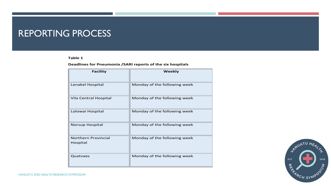### REPORTING PROCESS

#### **Table 1**

#### **Deadlines for Pneumonia /SARI reports of the six hospitals**

| <b>Facility</b>                 | Weekly                       |
|---------------------------------|------------------------------|
| Lenakel Hospital                | Monday of the following week |
| Vila Central Hospital           | Monday of the following week |
| Lolowai Hospital                | Monday of the following week |
| <b>Norsup Hospital</b>          | Monday of the following week |
| Northern Provincial<br>Hospital | Monday of the following week |
| Quatvaes                        | Monday of the following week |

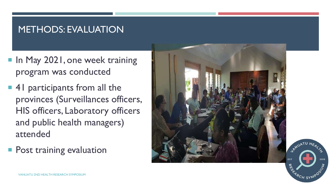### METHODS: EVALUATION

- In May 2021, one week training program was conducted
- 41 participants from all the provinces (Surveillances officers, HIS officers, Laboratory officers and public health managers) attended
- **Post training evaluation**



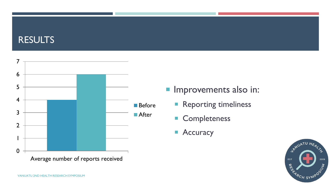### RESULTS



- **Improvements also in:** 
	- **Reporting timeliness**
	- **Completeness**
	- **Accuracy**

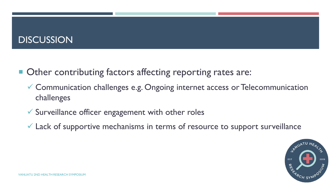### **DISCUSSION**

- Other contributing factors affecting reporting rates are:
	- Communication challenges e.g. Ongoing internet access or Telecommunication challenges
	- $\checkmark$  Surveillance officer engagement with other roles
	- $\checkmark$  Lack of supportive mechanisms in terms of resource to support surveillance

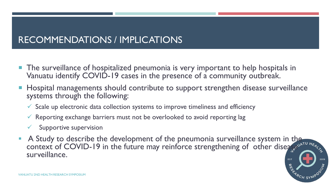### RECOMMENDATIONS / IMPLICATIONS

- **The surveillance of hospitalized pneumonia is very important to help hospitals in** Vanuatu identify COVID-19 cases in the presence of a community outbreak.
- **Hospital managements should contribute to support strengthen disease surveillance** systems through the following:
	- $\checkmark$  Scale up electronic data collection systems to improve timeliness and efficiency
	- $\checkmark$  Reporting exchange barriers must not be overlooked to avoid reporting lag
	- Supportive supervision
- A Study to describe the development of the pneumonia surveillance system in the context of COVID-19 in the future may reinforce strengthening of other diseased as surveillance.